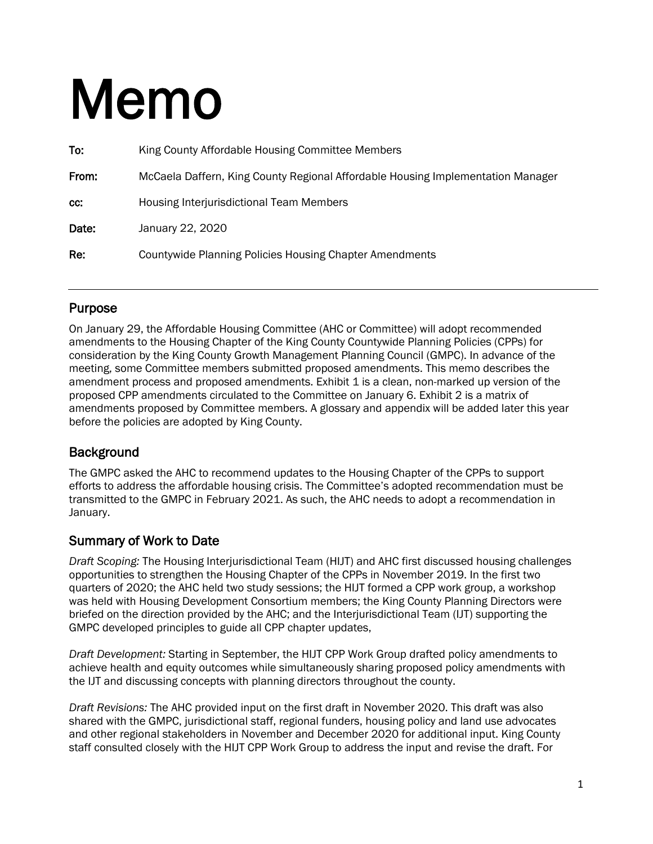# Memo

| To:   | King County Affordable Housing Committee Members                                |
|-------|---------------------------------------------------------------------------------|
| From: | McCaela Daffern, King County Regional Affordable Housing Implementation Manager |
| CC.   | <b>Housing Interjurisdictional Team Members</b>                                 |
| Date: | January 22, 2020                                                                |
| Re:   | <b>Countywide Planning Policies Housing Chapter Amendments</b>                  |
|       |                                                                                 |

#### Purpose

On January 29, the Affordable Housing Committee (AHC or Committee) will adopt recommended amendments to the Housing Chapter of the King County Countywide Planning Policies (CPPs) for consideration by the King County Growth Management Planning Council (GMPC). In advance of the meeting, some Committee members submitted proposed amendments. This memo describes the amendment process and proposed amendments. Exhibit 1 is a clean, non-marked up version of the proposed CPP amendments circulated to the Committee on January 6. Exhibit 2 is a matrix of amendments proposed by Committee members. A glossary and appendix will be added later this year before the policies are adopted by King County.

#### **Background**

The GMPC asked the AHC to recommend updates to the Housing Chapter of the CPPs to support efforts to address the affordable housing crisis. The Committee's adopted recommendation must be transmitted to the GMPC in February 2021. As such, the AHC needs to adopt a recommendation in January.

#### Summary of Work to Date

*Draft Scoping:* The Housing Interjurisdictional Team (HIJT) and AHC first discussed housing challenges opportunities to strengthen the Housing Chapter of the CPPs in November 2019. In the first two quarters of 2020; the AHC held two study sessions; the HIJT formed a CPP work group, a workshop was held with Housing Development Consortium members; the King County Planning Directors were briefed on the direction provided by the AHC; and the Interjurisdictional Team (IJT) supporting the GMPC developed principles to guide all CPP chapter updates,

*Draft Development:* Starting in September, the HIJT CPP Work Group drafted policy amendments to achieve health and equity outcomes while simultaneously sharing proposed policy amendments with the IJT and discussing concepts with planning directors throughout the county.

*Draft Revisions:* The AHC provided input on the first draft in November 2020. This draft was also shared with the GMPC, jurisdictional staff, regional funders, housing policy and land use advocates and other regional stakeholders in November and December 2020 for additional input. King County staff consulted closely with the HIJT CPP Work Group to address the input and revise the draft. For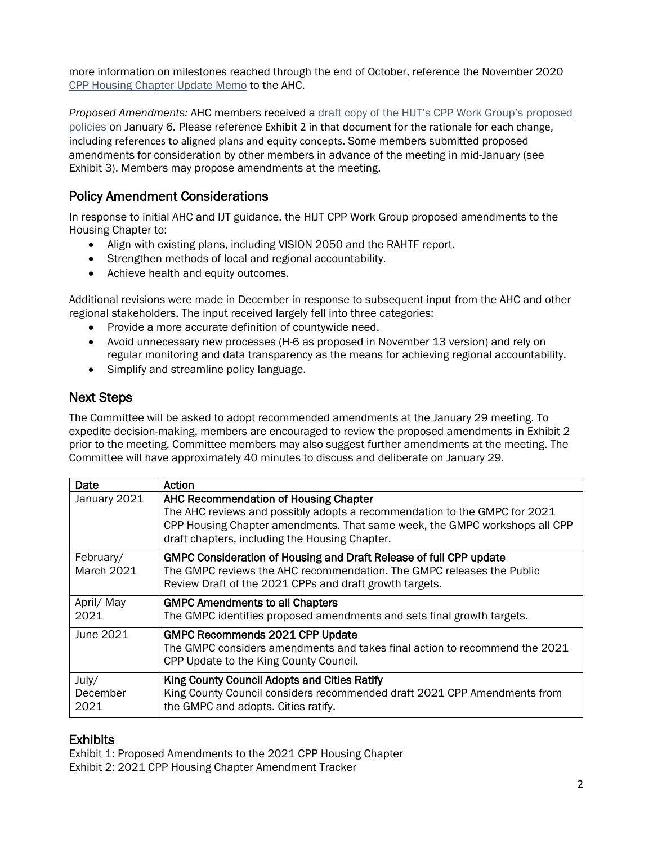more information on milestones reached through the end of October, reference the November 2020 [CPP Housing Chapter Update Memo](https://www.kingcounty.gov/%7E/media/depts/community-human-services/housing-homelessness-community-development/documents/affordable-housing-committee/Meeting_11-13-2020/CPP_Housing_Chapter_Memo.ashx?la=en) to the AHC.

*Proposed Amendments:* AHC members received a [draft copy of the HIJT's CPP Work Group's proposed](https://www.kingcounty.gov/%7E/media/depts/community-human-services/housing-homelessness-community-development/documents/affordable-housing-committee/Meeting_01-29-2021/AHCCPPHousingChapterMemoandPolicies162021.ashx?la=en)  [policies](https://www.kingcounty.gov/%7E/media/depts/community-human-services/housing-homelessness-community-development/documents/affordable-housing-committee/Meeting_01-29-2021/AHCCPPHousingChapterMemoandPolicies162021.ashx?la=en) on January 6. Please reference Exhibit 2 in that document for the rationale for each change, including references to aligned plans and equity concepts. Some members submitted proposed amendments for consideration by other members in advance of the meeting in mid-January (see Exhibit 3). Members may propose amendments at the meeting.

#### Policy Amendment Considerations

In response to initial AHC and IJT guidance, the HIJT CPP Work Group proposed amendments to the Housing Chapter to:

- Align with existing plans, including VISION 2050 and the RAHTF report.
- Strengthen methods of local and regional accountability.
- Achieve health and equity outcomes.

Additional revisions were made in December in response to subsequent input from the AHC and other regional stakeholders. The input received largely fell into three categories:

- Provide a more accurate definition of countywide need.
- Avoid unnecessary new processes (H-6 as proposed in November 13 version) and rely on regular monitoring and data transparency as the means for achieving regional accountability.
- Simplify and streamline policy language.

#### Next Steps

The Committee will be asked to adopt recommended amendments at the January 29 meeting. To expedite decision-making, members are encouraged to review the proposed amendments in Exhibit 2 prior to the meeting. Committee members may also suggest further amendments at the meeting. The Committee will have approximately 40 minutes to discuss and deliberate on January 29.

| Date                           | Action                                                                                                                                                                                                                                                    |
|--------------------------------|-----------------------------------------------------------------------------------------------------------------------------------------------------------------------------------------------------------------------------------------------------------|
| January 2021                   | <b>AHC Recommendation of Housing Chapter</b><br>The AHC reviews and possibly adopts a recommendation to the GMPC for 2021<br>CPP Housing Chapter amendments. That same week, the GMPC workshops all CPP<br>draft chapters, including the Housing Chapter. |
| February/<br><b>March 2021</b> | GMPC Consideration of Housing and Draft Release of full CPP update<br>The GMPC reviews the AHC recommendation. The GMPC releases the Public<br>Review Draft of the 2021 CPPs and draft growth targets.                                                    |
| April/ May<br>2021             | <b>GMPC Amendments to all Chapters</b><br>The GMPC identifies proposed amendments and sets final growth targets.                                                                                                                                          |
| June 2021                      | <b>GMPC Recommends 2021 CPP Update</b><br>The GMPC considers amendments and takes final action to recommend the 2021<br>CPP Update to the King County Council.                                                                                            |
| July/<br>December<br>2021      | King County Council Adopts and Cities Ratify<br>King County Council considers recommended draft 2021 CPP Amendments from<br>the GMPC and adopts. Cities ratify.                                                                                           |

**Exhibits**<br>Exhibit 1: Proposed Amendments to the 2021 CPP Housing Chapter Exhibit 2: 2021 CPP Housing Chapter Amendment Tracker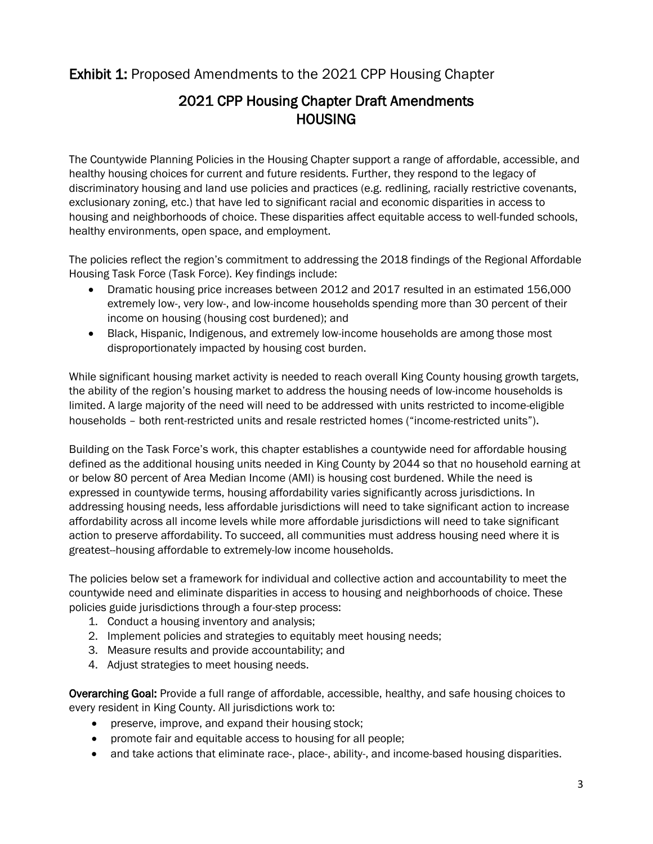#### Exhibit 1: Proposed Amendments to the 2021 CPP Housing Chapter

### 2021 CPP Housing Chapter Draft Amendments **HOUSING**

The Countywide Planning Policies in the Housing Chapter support a range of affordable, accessible, and healthy housing choices for current and future residents. Further, they respond to the legacy of discriminatory housing and land use policies and practices (e.g. redlining, racially restrictive covenants, exclusionary zoning, etc.) that have led to significant racial and economic disparities in access to housing and neighborhoods of choice. These disparities affect equitable access to well-funded schools, healthy environments, open space, and employment.

The policies reflect the region's commitment to addressing the 2018 findings of the Regional Affordable Housing Task Force (Task Force). Key findings include:

- Dramatic housing price increases between 2012 and 2017 resulted in an estimated 156,000 extremely low-, very low-, and low-income households spending more than 30 percent of their income on housing (housing cost burdened); and
- Black, Hispanic, Indigenous, and extremely low-income households are among those most disproportionately impacted by housing cost burden.

While significant housing market activity is needed to reach overall King County housing growth targets, the ability of the region's housing market to address the housing needs of low-income households is limited. A large majority of the need will need to be addressed with units restricted to income-eligible households – both rent-restricted units and resale restricted homes ("income-restricted units").

Building on the Task Force's work, this chapter establishes a countywide need for affordable housing defined as the additional housing units needed in King County by 2044 so that no household earning at or below 80 percent of Area Median Income (AMI) is housing cost burdened. While the need is expressed in countywide terms, housing affordability varies significantly across jurisdictions. In addressing housing needs, less affordable jurisdictions will need to take significant action to increase affordability across all income levels while more affordable jurisdictions will need to take significant action to preserve affordability. To succeed, all communities must address housing need where it is greatest--housing affordable to extremely-low income households.

The policies below set a framework for individual and collective action and accountability to meet the countywide need and eliminate disparities in access to housing and neighborhoods of choice. These policies guide jurisdictions through a four-step process:

- 1. Conduct a housing inventory and analysis;
- 2. Implement policies and strategies to equitably meet housing needs;
- 3. Measure results and provide accountability; and
- 4. Adjust strategies to meet housing needs.

Overarching Goal: Provide a full range of affordable, accessible, healthy, and safe housing choices to every resident in King County. All jurisdictions work to:

- preserve, improve, and expand their housing stock;
- promote fair and equitable access to housing for all people;
- and take actions that eliminate race-, place-, ability-, and income-based housing disparities.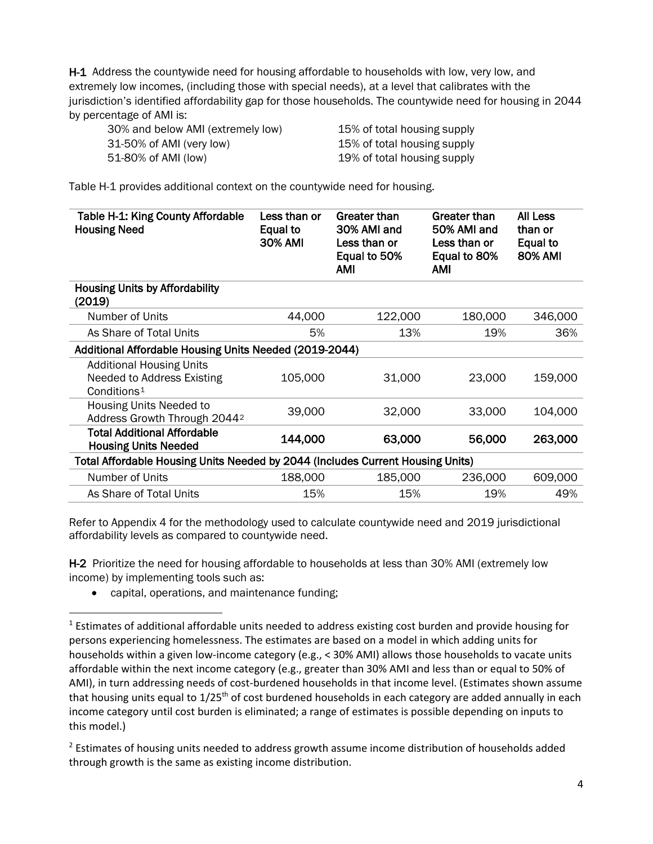H-1 Address the countywide need for housing affordable to households with low, very low, and extremely low incomes, (including those with special needs), at a level that calibrates with the jurisdiction's identified affordability gap for those households. The countywide need for housing in 2044 by percentage of AMI is:

| 30% and below AMI (extremely low) | 15% of total housing supply |
|-----------------------------------|-----------------------------|
| 31-50% of AMI (very low)          | 15% of total housing supply |
| 51-80% of AMI (low)               | 19% of total housing supply |

Table H-1 provides additional context on the countywide need for housing.

| Table H-1: King County Affordable<br><b>Housing Need</b>                                 | Less than or<br>Equal to<br><b>30% AMI</b> | Greater than<br>30% AMI and<br>Less than or<br>Equal to 50%<br>AMI | Greater than<br>50% AMI and<br>Less than or<br>Equal to 80%<br><b>AMI</b> | <b>All Less</b><br>than or<br>Equal to<br><b>80% AMI</b> |  |  |
|------------------------------------------------------------------------------------------|--------------------------------------------|--------------------------------------------------------------------|---------------------------------------------------------------------------|----------------------------------------------------------|--|--|
| <b>Housing Units by Affordability</b>                                                    |                                            |                                                                    |                                                                           |                                                          |  |  |
| (2019)                                                                                   |                                            |                                                                    |                                                                           |                                                          |  |  |
| Number of Units                                                                          | 44,000                                     | 122,000                                                            | 180,000                                                                   | 346,000                                                  |  |  |
| As Share of Total Units                                                                  | 5%                                         | 13%                                                                | 19%                                                                       | 36%                                                      |  |  |
| Additional Affordable Housing Units Needed (2019-2044)                                   |                                            |                                                                    |                                                                           |                                                          |  |  |
| <b>Additional Housing Units</b><br>Needed to Address Existing<br>Conditions <sup>1</sup> | 105,000                                    | 31,000                                                             | 23,000                                                                    | 159,000                                                  |  |  |
| Housing Units Needed to<br>Address Growth Through 2044 <sup>2</sup>                      | 39,000                                     | 32,000                                                             | 33,000                                                                    | 104,000                                                  |  |  |
| <b>Total Additional Affordable</b><br><b>Housing Units Needed</b>                        | 144,000                                    | 63,000                                                             | 56,000                                                                    | 263,000                                                  |  |  |
| Total Affordable Housing Units Needed by 2044 (Includes Current Housing Units)           |                                            |                                                                    |                                                                           |                                                          |  |  |
| Number of Units                                                                          | 188,000                                    | 185,000                                                            | 236,000                                                                   | 609,000                                                  |  |  |
| As Share of Total Units                                                                  | 15%                                        | 15%                                                                | 19%                                                                       | 49%                                                      |  |  |

Refer to Appendix 4 for the methodology used to calculate countywide need and 2019 jurisdictional affordability levels as compared to countywide need.

H-2 Prioritize the need for housing affordable to households at less than 30% AMI (extremely low income) by implementing tools such as:

• capital, operations, and maintenance funding;

<span id="page-3-0"></span><sup>&</sup>lt;sup>1</sup> Estimates of additional affordable units needed to address existing cost burden and provide housing for persons experiencing homelessness. The estimates are based on a model in which adding units for households within a given low-income category (e.g., < 30% AMI) allows those households to vacate units affordable within the next income category (e.g., greater than 30% AMI and less than or equal to 50% of AMI), in turn addressing needs of cost-burdened households in that income level. (Estimates shown assume that housing units equal to 1/25<sup>th</sup> of cost burdened households in each category are added annually in each income category until cost burden is eliminated; a range of estimates is possible depending on inputs to this model.)

<span id="page-3-1"></span><sup>&</sup>lt;sup>2</sup> Estimates of housing units needed to address growth assume income distribution of households added through growth is the same as existing income distribution.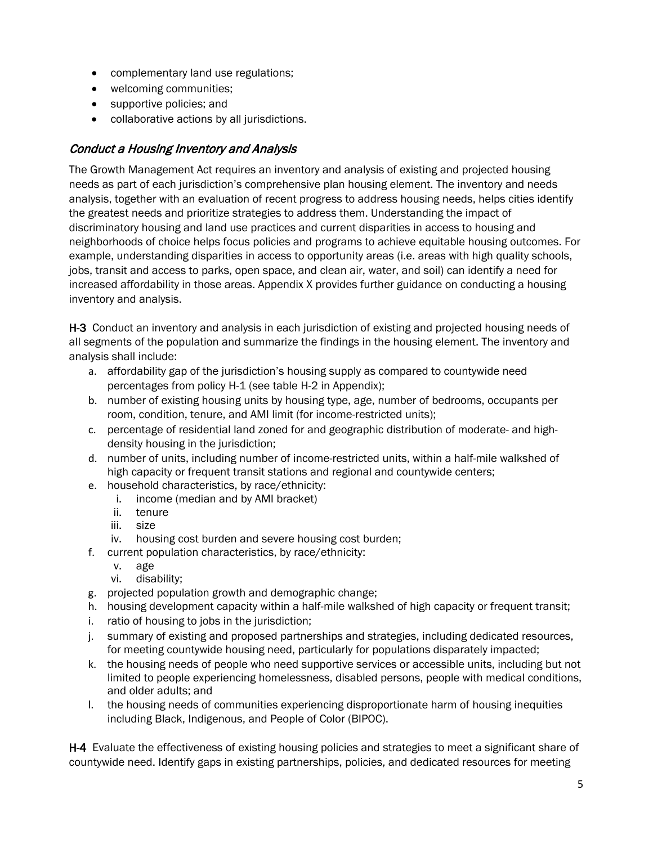- complementary land use regulations;
- welcoming communities;
- supportive policies; and
- collaborative actions by all jurisdictions.

#### Conduct a Housing Inventory and Analysis

The Growth Management Act requires an inventory and analysis of existing and projected housing needs as part of each jurisdiction's comprehensive plan housing element. The inventory and needs analysis, together with an evaluation of recent progress to address housing needs, helps cities identify the greatest needs and prioritize strategies to address them. Understanding the impact of discriminatory housing and land use practices and current disparities in access to housing and neighborhoods of choice helps focus policies and programs to achieve equitable housing outcomes. For example, understanding disparities in access to opportunity areas (i.e. areas with high quality schools, jobs, transit and access to parks, open space, and clean air, water, and soil) can identify a need for increased affordability in those areas. Appendix X provides further guidance on conducting a housing inventory and analysis.

H-3 Conduct an inventory and analysis in each jurisdiction of existing and projected housing needs of all segments of the population and summarize the findings in the housing element. The inventory and analysis shall include:

- a. affordability gap of the jurisdiction's housing supply as compared to countywide need percentages from policy H-1 (see table H-2 in Appendix);
- b. number of existing housing units by housing type, age, number of bedrooms, occupants per room, condition, tenure, and AMI limit (for income-restricted units);
- c. percentage of residential land zoned for and geographic distribution of moderate- and highdensity housing in the jurisdiction;
- d. number of units, including number of income-restricted units, within a half-mile walkshed of high capacity or frequent transit stations and regional and countywide centers;
- e. household characteristics, by race/ethnicity:
	- i. income (median and by AMI bracket)
	- ii. tenure
	- iii. size
	- iv. housing cost burden and severe housing cost burden;
- f. current population characteristics, by race/ethnicity:
	- v. age
	- vi. disability;
- g. projected population growth and demographic change;
- h. housing development capacity within a half-mile walkshed of high capacity or frequent transit;
- i. ratio of housing to jobs in the jurisdiction;
- j. summary of existing and proposed partnerships and strategies, including dedicated resources, for meeting countywide housing need, particularly for populations disparately impacted;
- k. the housing needs of people who need supportive services or accessible units, including but not limited to people experiencing homelessness, disabled persons, people with medical conditions, and older adults; and
- l. the housing needs of communities experiencing disproportionate harm of housing inequities including Black, Indigenous, and People of Color (BIPOC).

H-4 Evaluate the effectiveness of existing housing policies and strategies to meet a significant share of countywide need. Identify gaps in existing partnerships, policies, and dedicated resources for meeting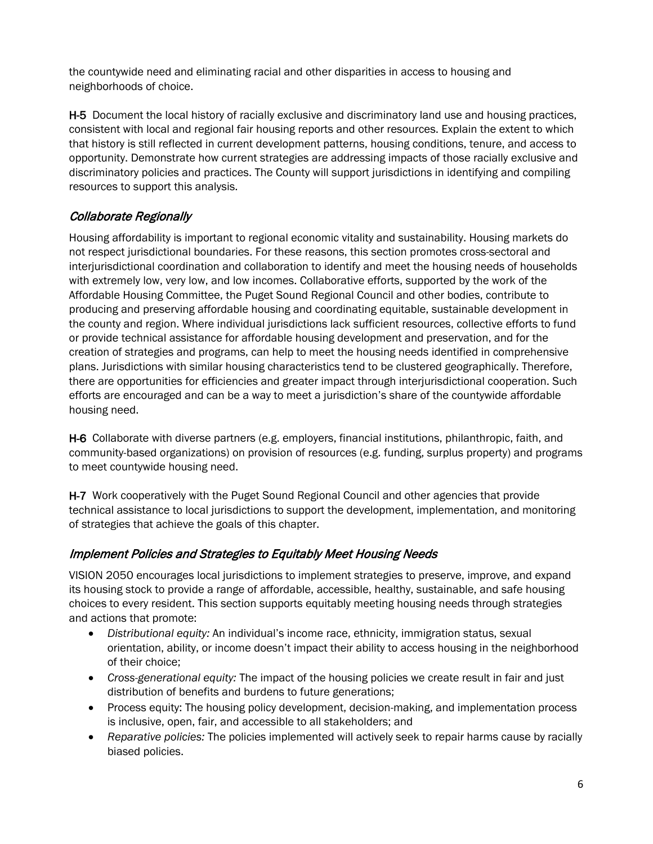the countywide need and eliminating racial and other disparities in access to housing and neighborhoods of choice.

H-5 Document the local history of racially exclusive and discriminatory land use and housing practices, consistent with local and regional fair housing reports and other resources. Explain the extent to which that history is still reflected in current development patterns, housing conditions, tenure, and access to opportunity. Demonstrate how current strategies are addressing impacts of those racially exclusive and discriminatory policies and practices. The County will support jurisdictions in identifying and compiling resources to support this analysis.

#### Collaborate Regionally

Housing affordability is important to regional economic vitality and sustainability. Housing markets do not respect jurisdictional boundaries. For these reasons, this section promotes cross-sectoral and interjurisdictional coordination and collaboration to identify and meet the housing needs of households with extremely low, very low, and low incomes. Collaborative efforts, supported by the work of the Affordable Housing Committee, the Puget Sound Regional Council and other bodies, contribute to producing and preserving affordable housing and coordinating equitable, sustainable development in the county and region. Where individual jurisdictions lack sufficient resources, collective efforts to fund or provide technical assistance for affordable housing development and preservation, and for the creation of strategies and programs, can help to meet the housing needs identified in comprehensive plans. Jurisdictions with similar housing characteristics tend to be clustered geographically. Therefore, there are opportunities for efficiencies and greater impact through interjurisdictional cooperation. Such efforts are encouraged and can be a way to meet a jurisdiction's share of the countywide affordable housing need.

H-6 Collaborate with diverse partners (e.g. employers, financial institutions, philanthropic, faith, and community-based organizations) on provision of resources (e.g. funding, surplus property) and programs to meet countywide housing need.

H-7 Work cooperatively with the Puget Sound Regional Council and other agencies that provide technical assistance to local jurisdictions to support the development, implementation, and monitoring of strategies that achieve the goals of this chapter.

#### Implement Policies and Strategies to Equitably Meet Housing Needs

VISION 2050 encourages local jurisdictions to implement strategies to preserve, improve, and expand its housing stock to provide a range of affordable, accessible, healthy, sustainable, and safe housing choices to every resident. This section supports equitably meeting housing needs through strategies and actions that promote:

- *Distributional equity:* An individual's income race, ethnicity, immigration status, sexual orientation, ability, or income doesn't impact their ability to access housing in the neighborhood of their choice;
- *Cross-generational equity:* The impact of the housing policies we create result in fair and just distribution of benefits and burdens to future generations;
- Process equity: The housing policy development, decision-making, and implementation process is inclusive, open, fair, and accessible to all stakeholders; and
- *Reparative policies:* The policies implemented will actively seek to repair harms cause by racially biased policies.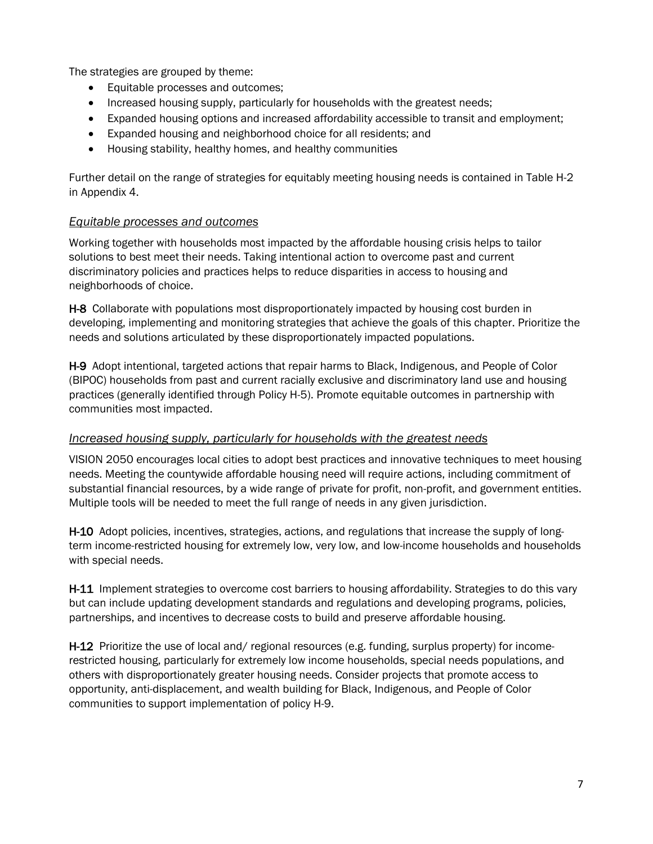The strategies are grouped by theme:

- Equitable processes and outcomes;
- Increased housing supply, particularly for households with the greatest needs;
- Expanded housing options and increased affordability accessible to transit and employment;
- Expanded housing and neighborhood choice for all residents; and
- Housing stability, healthy homes, and healthy communities

Further detail on the range of strategies for equitably meeting housing needs is contained in Table H-2 in Appendix 4.

#### *Equitable processes and outcomes*

Working together with households most impacted by the affordable housing crisis helps to tailor solutions to best meet their needs. Taking intentional action to overcome past and current discriminatory policies and practices helps to reduce disparities in access to housing and neighborhoods of choice.

H-8 Collaborate with populations most disproportionately impacted by housing cost burden in developing, implementing and monitoring strategies that achieve the goals of this chapter. Prioritize the needs and solutions articulated by these disproportionately impacted populations.

H-9 Adopt intentional, targeted actions that repair harms to Black, Indigenous, and People of Color (BIPOC) households from past and current racially exclusive and discriminatory land use and housing practices (generally identified through Policy H-5). Promote equitable outcomes in partnership with communities most impacted.

#### *Increased housing supply, particularly for households with the greatest needs*

VISION 2050 encourages local cities to adopt best practices and innovative techniques to meet housing needs. Meeting the countywide affordable housing need will require actions, including commitment of substantial financial resources, by a wide range of private for profit, non-profit, and government entities. Multiple tools will be needed to meet the full range of needs in any given jurisdiction.

H-10 Adopt policies, incentives, strategies, actions, and regulations that increase the supply of longterm income-restricted housing for extremely low, very low, and low-income households and households with special needs.

H-11 Implement strategies to overcome cost barriers to housing affordability. Strategies to do this vary but can include updating development standards and regulations and developing programs, policies, partnerships, and incentives to decrease costs to build and preserve affordable housing.

H-12 Prioritize the use of local and/ regional resources (e.g. funding, surplus property) for incomerestricted housing, particularly for extremely low income households, special needs populations, and others with disproportionately greater housing needs. Consider projects that promote access to opportunity, anti-displacement, and wealth building for Black, Indigenous, and People of Color communities to support implementation of policy H-9.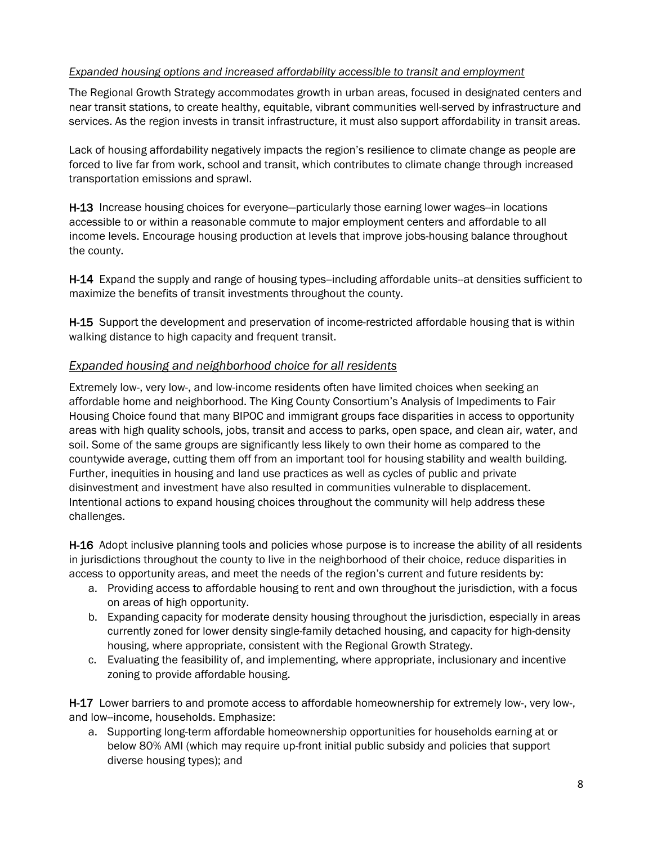#### *Expanded housing options and increased affordability accessible to transit and employment*

The Regional Growth Strategy accommodates growth in urban areas, focused in designated centers and near transit stations, to create healthy, equitable, vibrant communities well-served by infrastructure and services. As the region invests in transit infrastructure, it must also support affordability in transit areas.

Lack of housing affordability negatively impacts the region's resilience to climate change as people are forced to live far from work, school and transit, which contributes to climate change through increased transportation emissions and sprawl.

H-13 Increase housing choices for everyone—particularly those earning lower wages--in locations accessible to or within a reasonable commute to major employment centers and affordable to all income levels. Encourage housing production at levels that improve jobs-housing balance throughout the county.

H-14 Expand the supply and range of housing types--including affordable units--at densities sufficient to maximize the benefits of transit investments throughout the county.

H-15 Support the development and preservation of income-restricted affordable housing that is within walking distance to high capacity and frequent transit.

#### *Expanded housing and neighborhood choice for all residents*

Extremely low-, very low-, and low-income residents often have limited choices when seeking an affordable home and neighborhood. The King County Consortium's Analysis of Impediments to Fair Housing Choice found that many BIPOC and immigrant groups face disparities in access to opportunity areas with high quality schools, jobs, transit and access to parks, open space, and clean air, water, and soil. Some of the same groups are significantly less likely to own their home as compared to the countywide average, cutting them off from an important tool for housing stability and wealth building. Further, inequities in housing and land use practices as well as cycles of public and private disinvestment and investment have also resulted in communities vulnerable to displacement. Intentional actions to expand housing choices throughout the community will help address these challenges.

H-16 Adopt inclusive planning tools and policies whose purpose is to increase the ability of all residents in jurisdictions throughout the county to live in the neighborhood of their choice, reduce disparities in access to opportunity areas, and meet the needs of the region's current and future residents by:

- a. Providing access to affordable housing to rent and own throughout the jurisdiction, with a focus on areas of high opportunity.
- b. Expanding capacity for moderate density housing throughout the jurisdiction, especially in areas currently zoned for lower density single-family detached housing, and capacity for high-density housing, where appropriate, consistent with the Regional Growth Strategy.
- c. Evaluating the feasibility of, and implementing, where appropriate, inclusionary and incentive zoning to provide affordable housing.

H-17 Lower barriers to and promote access to affordable homeownership for extremely low-, very low-, and low--income, households. Emphasize:

a. Supporting long-term affordable homeownership opportunities for households earning at or below 80% AMI (which may require up-front initial public subsidy and policies that support diverse housing types); and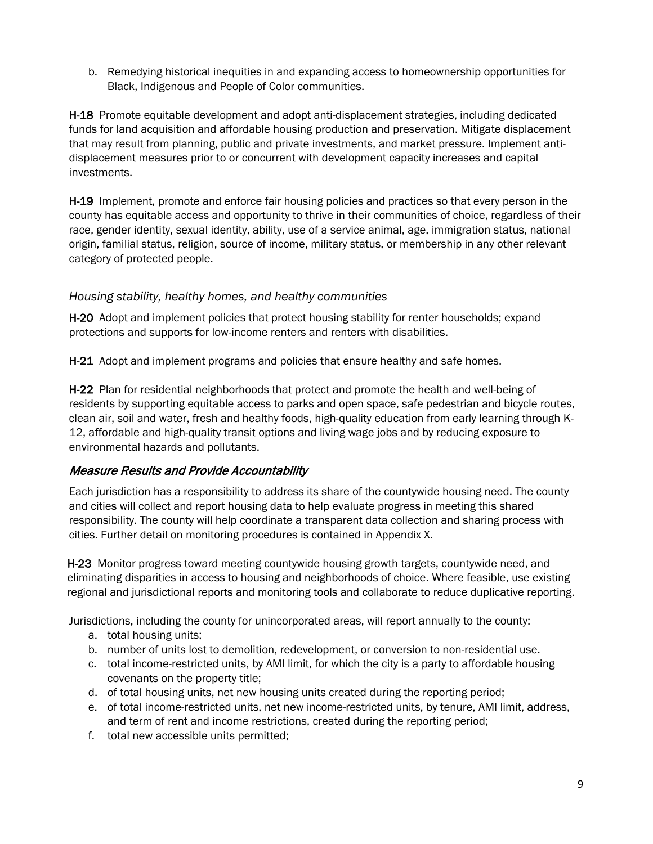b. Remedying historical inequities in and expanding access to homeownership opportunities for Black, Indigenous and People of Color communities.

H-18 Promote equitable development and adopt anti-displacement strategies, including dedicated funds for land acquisition and affordable housing production and preservation. Mitigate displacement that may result from planning, public and private investments, and market pressure. Implement antidisplacement measures prior to or concurrent with development capacity increases and capital investments.

H-19 Implement, promote and enforce fair housing policies and practices so that every person in the county has equitable access and opportunity to thrive in their communities of choice, regardless of their race, gender identity, sexual identity, ability, use of a service animal, age, immigration status, national origin, familial status, religion, source of income, military status, or membership in any other relevant category of protected people.

#### *Housing stability, healthy homes, and healthy communities*

H-20 Adopt and implement policies that protect housing stability for renter households; expand protections and supports for low-income renters and renters with disabilities.

H-21 Adopt and implement programs and policies that ensure healthy and safe homes.

H-22 Plan for residential neighborhoods that protect and promote the health and well-being of residents by supporting equitable access to parks and open space, safe pedestrian and bicycle routes, clean air, soil and water, fresh and healthy foods, high-quality education from early learning through K-12, affordable and high-quality transit options and living wage jobs and by reducing exposure to environmental hazards and pollutants.

#### Measure Results and Provide Accountability

Each jurisdiction has a responsibility to address its share of the countywide housing need. The county and cities will collect and report housing data to help evaluate progress in meeting this shared responsibility. The county will help coordinate a transparent data collection and sharing process with cities. Further detail on monitoring procedures is contained in Appendix X.

H-23 Monitor progress toward meeting countywide housing growth targets, countywide need, and eliminating disparities in access to housing and neighborhoods of choice. Where feasible, use existing regional and jurisdictional reports and monitoring tools and collaborate to reduce duplicative reporting.

Jurisdictions, including the county for unincorporated areas, will report annually to the county:

- a. total housing units;
- b. number of units lost to demolition, redevelopment, or conversion to non-residential use.
- c. total income-restricted units, by AMI limit, for which the city is a party to affordable housing covenants on the property title;
- d. of total housing units, net new housing units created during the reporting period;
- e. of total income-restricted units, net new income-restricted units, by tenure, AMI limit, address, and term of rent and income restrictions, created during the reporting period;
- f. total new accessible units permitted;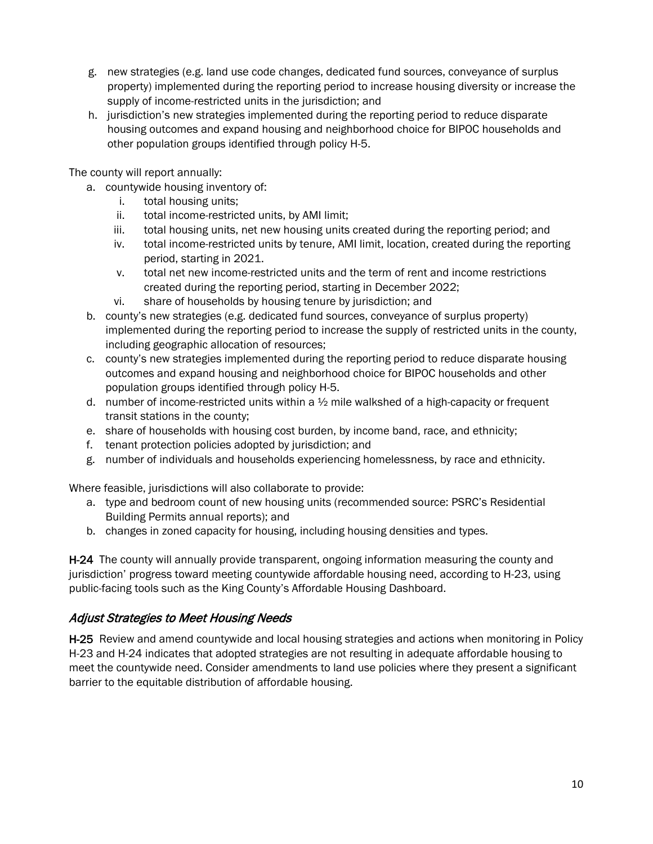- g. new strategies (e.g. land use code changes, dedicated fund sources, conveyance of surplus property) implemented during the reporting period to increase housing diversity or increase the supply of income-restricted units in the jurisdiction; and
- h. jurisdiction's new strategies implemented during the reporting period to reduce disparate housing outcomes and expand housing and neighborhood choice for BIPOC households and other population groups identified through policy H-5.

The county will report annually:

- a. countywide housing inventory of:
	- i. total housing units;
	- ii. total income-restricted units, by AMI limit;
	- iii. total housing units, net new housing units created during the reporting period; and
	- iv. total income-restricted units by tenure, AMI limit, location, created during the reporting period, starting in 2021.
	- v. total net new income-restricted units and the term of rent and income restrictions created during the reporting period, starting in December 2022;
	- vi. share of households by housing tenure by jurisdiction; and
- b. county's new strategies (e.g. dedicated fund sources, conveyance of surplus property) implemented during the reporting period to increase the supply of restricted units in the county, including geographic allocation of resources;
- c. county's new strategies implemented during the reporting period to reduce disparate housing outcomes and expand housing and neighborhood choice for BIPOC households and other population groups identified through policy H-5.
- d. number of income-restricted units within a  $\frac{1}{2}$  mile walkshed of a high-capacity or frequent transit stations in the county;
- e. share of households with housing cost burden, by income band, race, and ethnicity;
- f. tenant protection policies adopted by jurisdiction; and
- g. number of individuals and households experiencing homelessness, by race and ethnicity.

Where feasible, jurisdictions will also collaborate to provide:

- a. type and bedroom count of new housing units (recommended source: PSRC's Residential Building Permits annual reports); and
- b. changes in zoned capacity for housing, including housing densities and types.

**H-24** The county will annually provide transparent, ongoing information measuring the county and jurisdiction' progress toward meeting countywide affordable housing need, according to H-23, using public-facing tools such as the King County's Affordable Housing Dashboard.

#### Adjust Strategies to Meet Housing Needs

H-25 Review and amend countywide and local housing strategies and actions when monitoring in Policy H-23 and H-24 indicates that adopted strategies are not resulting in adequate affordable housing to meet the countywide need. Consider amendments to land use policies where they present a significant barrier to the equitable distribution of affordable housing.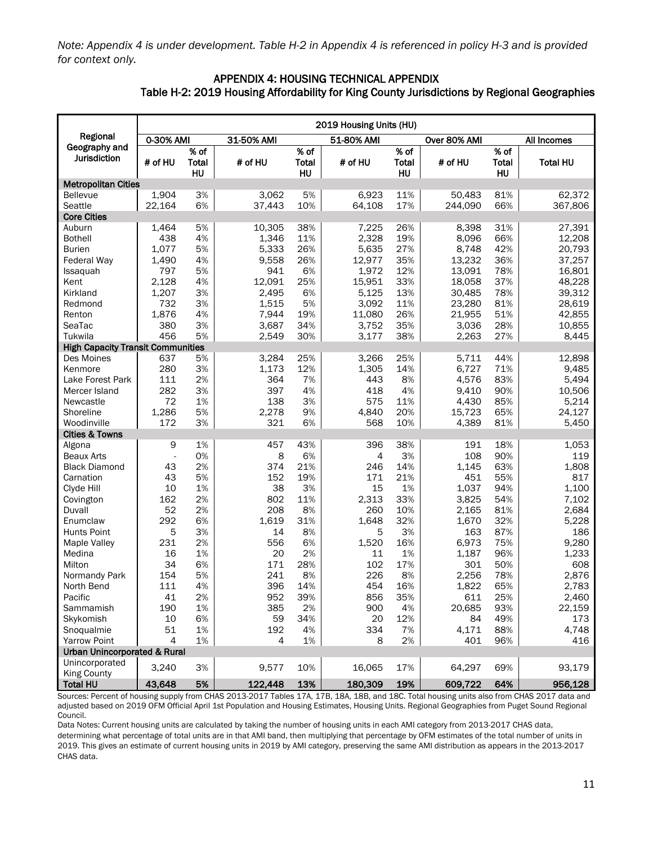*Note: Appendix 4 is under development. Table H-2 in Appendix 4 is referenced in policy H-3 and is provided for context only.*

#### APPENDIX 4: HOUSING TECHNICAL APPENDIX Table H-2: 2019 Housing Affordability for King County Jurisdictions by Regional Geographies

|                                          |                |                            |            |                            | 2019 Housing Units (HU) |                            |              |                     |                 |
|------------------------------------------|----------------|----------------------------|------------|----------------------------|-------------------------|----------------------------|--------------|---------------------|-----------------|
| Regional                                 | 0-30% AMI      |                            | 31-50% AMI |                            | 51-80% AMI              |                            | Over 80% AMI |                     | All Incomes     |
| Geography and<br>Jurisdiction            | # of HU        | % of<br><b>Total</b><br>HU | # of HU    | % of<br><b>Total</b><br>HU | # of HU                 | % of<br><b>Total</b><br>HU | # of HU      | % of<br>Total<br>HU | <b>Total HU</b> |
| <b>Metropolitan Cities</b>               |                |                            |            |                            |                         |                            |              |                     |                 |
| Bellevue                                 | 1,904          | 3%                         | 3,062      | 5%                         | 6,923                   | 11%                        | 50,483       | 81%                 | 62,372          |
| Seattle                                  | 22,164         | 6%                         | 37,443     | 10%                        | 64,108                  | 17%                        | 244,090      | 66%                 | 367,806         |
| <b>Core Cities</b>                       |                |                            |            |                            |                         |                            |              |                     |                 |
| Auburn                                   | 1,464          | 5%                         | 10,305     | 38%                        | 7,225                   | 26%                        | 8,398        | 31%                 | 27,391          |
| <b>Bothell</b>                           | 438            | 4%                         | 1,346      | 11%                        | 2,328                   | 19%                        | 8,096        | 66%                 | 12,208          |
| Burien                                   | 1,077          | 5%                         | 5,333      | 26%                        | 5,635                   | 27%                        | 8,748        | 42%                 | 20,793          |
| <b>Federal Way</b>                       | 1,490          | 4%                         | 9,558      | 26%                        | 12,977                  | 35%                        | 13,232       | 36%                 | 37,257          |
| Issaquah                                 | 797            | 5%                         | 941        | 6%                         | 1,972                   | 12%                        | 13,091       | 78%                 | 16,801          |
| Kent                                     | 2,128          | 4%                         | 12,091     | 25%                        | 15,951                  | 33%                        | 18,058       | 37%                 | 48,228          |
| Kirkland                                 | 1,207          | 3%                         | 2,495      | 6%                         | 5,125                   | 13%                        | 30,485       | 78%                 | 39,312          |
| Redmond                                  | 732            | 3%                         | 1,515      | 5%                         | 3,092                   | 11%                        | 23,280       | 81%                 | 28,619          |
| Renton                                   | 1,876          | 4%                         | 7,944      | 19%                        | 11,080                  | 26%                        | 21,955       | 51%                 | 42,855          |
| SeaTac                                   | 380            | 3%                         | 3,687      | 34%                        | 3,752                   | 35%                        | 3,036        | 28%                 | 10,855          |
| Tukwila                                  | 456            | 5%                         | 2,549      | 30%                        | 3,177                   | 38%                        | 2,263        | 27%                 | 8,445           |
| <b>High Capacity Transit Communities</b> |                |                            |            |                            |                         |                            |              |                     |                 |
| Des Moines                               | 637            | 5%                         | 3,284      | 25%                        | 3,266                   | 25%                        | 5,711        | 44%                 | 12,898          |
| Kenmore                                  | 280            | 3%                         | 1,173      | 12%                        | 1,305                   | 14%                        | 6,727        | 71%                 | 9,485           |
| Lake Forest Park                         | 111            | 2%                         | 364        | 7%                         | 443                     | 8%                         | 4,576        | 83%                 | 5,494           |
| Mercer Island                            | 282            | 3%                         | 397        | 4%                         | 418                     | 4%                         | 9,410        | 90%                 | 10,506          |
| Newcastle                                | 72             | 1%                         | 138        | 3%                         | 575                     | 11%                        | 4,430        | 85%                 | 5,214           |
| Shoreline                                | 1,286          | 5%                         | 2,278      | 9%                         | 4,840                   | 20%                        | 15,723       | 65%                 | 24,127          |
| Woodinville                              | 172            | 3%                         | 321        | 6%                         | 568                     | 10%                        | 4,389        | 81%                 | 5,450           |
| <b>Cities &amp; Towns</b>                |                |                            |            |                            |                         |                            |              |                     |                 |
| Algona                                   | 9              | 1%                         | 457        | 43%                        | 396                     | 38%                        | 191          | 18%                 | 1,053           |
| <b>Beaux Arts</b>                        | ä,             | 0%                         | 8          | 6%                         | 4                       | 3%                         | 108          | 90%                 | 119             |
| <b>Black Diamond</b>                     | 43             | 2%                         | 374        | 21%                        | 246                     | 14%                        | 1,145        | 63%                 | 1,808           |
| Carnation                                | 43             | 5%                         | 152        | 19%                        | 171                     | 21%                        | 451          | 55%                 | 817             |
| Clyde Hill                               | 10             | 1%                         | 38         | 3%                         | 15                      | 1%                         | 1,037        | 94%                 | 1,100           |
| Covington                                | 162            | 2%                         | 802        | 11%                        | 2,313                   | 33%                        | 3,825        | 54%                 | 7,102           |
| Duvall                                   | 52             | 2%                         | 208        | 8%                         | 260                     | 10%                        | 2,165        | 81%                 | 2,684           |
| Enumclaw                                 | 292            | 6%                         | 1,619      | 31%                        | 1,648                   | 32%                        | 1,670        | 32%                 | 5,228           |
| <b>Hunts Point</b>                       | 5              | 3%                         | 14         | 8%                         | 5                       | 3%                         | 163          | 87%                 | 186             |
| Maple Valley                             | 231            | 2%                         | 556        | 6%                         | 1,520                   | 16%                        | 6,973        | 75%                 | 9,280           |
| Medina                                   | 16             | 1%                         | 20         | 2%                         | 11                      | 1%                         | 1,187        | 96%                 | 1,233           |
| Milton                                   | 34             | 6%                         | 171        | 28%                        | 102                     | 17%                        | 301          | 50%                 | 608             |
| Normandy Park                            | 154            | 5%                         | 241        | 8%                         | 226                     | 8%                         | 2,256        | 78%                 | 2,876           |
| North Bend                               | 111            | 4%                         | 396        | 14%                        | 454                     | 16%                        | 1,822        | 65%                 | 2,783           |
| Pacific                                  | 41             | 2%                         | 952        | 39%                        | 856                     | 35%                        | 611          | 25%                 | 2,460           |
| Sammamish                                | 190            | 1%                         | 385        | 2%                         | 900                     | 4%                         | 20,685       | 93%                 | 22,159          |
| Skykomish                                | 10             | 6%                         | 59         | 34%                        | 20                      | 12%                        | 84           | 49%                 | 173             |
| Snoqualmie                               | 51             | 1%                         | 192        | 4%                         | 334                     | 7%                         | 4,171        | 88%                 | 4,748           |
| <b>Yarrow Point</b>                      | $\overline{4}$ | $1\%$                      | 4          | 1%                         | 8                       | 2%                         | 401          | 96%                 | 416             |
| <b>Urban Unincorporated &amp; Rural</b>  |                |                            |            |                            |                         |                            |              |                     |                 |
| Unincorporated                           | 3,240          |                            | 9,577      | 10%                        |                         |                            | 64,297       |                     | 93,179          |
| <b>King County</b>                       |                | 3%                         |            |                            | 16,065                  | 17%                        |              | 69%                 |                 |
| <b>Total HU</b>                          | 43,648         | 5%                         | 122,448    | 13%                        | 180,309                 | 19%                        | 609,722      | 64%                 | 956,128         |

 Sources: Percent of housing supply from CHAS 2013-2017 Tables 17A, 17B, 18A, 18B, and 18C. Total housing units also from CHAS 2017 data and adjusted based on 2019 OFM Official April 1st Population and Housing Estimates, Housing Units. Regional Geographies from Puget Sound Regional Council.

Data Notes: Current housing units are calculated by taking the number of housing units in each AMI category from 2013-2017 CHAS data,

determining what percentage of total units are in that AMI band, then multiplying that percentage by OFM estimates of the total number of units in 2019. This gives an estimate of current housing units in 2019 by AMI category, preserving the same AMI distribution as appears in the 2013-2017 CHAS data.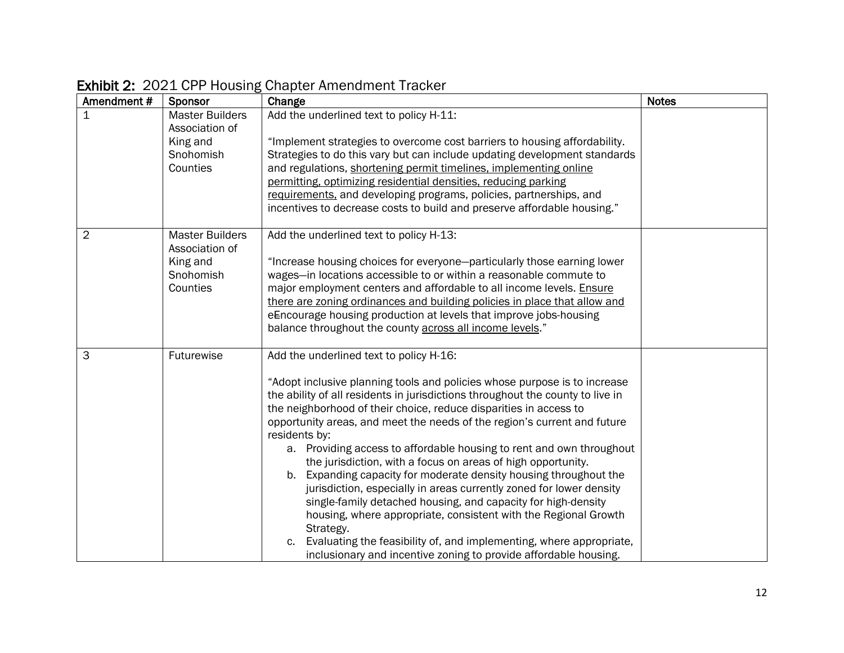| Amendment#     | Sponsor                                  | Change                                                                                    | <b>Notes</b> |
|----------------|------------------------------------------|-------------------------------------------------------------------------------------------|--------------|
| $\mathbf{1}$   | <b>Master Builders</b><br>Association of | Add the underlined text to policy H-11:                                                   |              |
|                | King and                                 | "Implement strategies to overcome cost barriers to housing affordability.                 |              |
|                | Snohomish                                | Strategies to do this vary but can include updating development standards                 |              |
|                | Counties                                 | and regulations, shortening permit timelines, implementing online                         |              |
|                |                                          | permitting, optimizing residential densities, reducing parking                            |              |
|                |                                          | requirements, and developing programs, policies, partnerships, and                        |              |
|                |                                          | incentives to decrease costs to build and preserve affordable housing."                   |              |
| $\overline{2}$ | <b>Master Builders</b><br>Association of | Add the underlined text to policy H-13:                                                   |              |
|                | King and                                 | "Increase housing choices for everyone-particularly those earning lower                   |              |
|                | Snohomish                                | wages-in locations accessible to or within a reasonable commute to                        |              |
|                | Counties                                 | major employment centers and affordable to all income levels. Ensure                      |              |
|                |                                          | there are zoning ordinances and building policies in place that allow and                 |              |
|                |                                          | eEncourage housing production at levels that improve jobs-housing                         |              |
|                |                                          | balance throughout the county across all income levels."                                  |              |
| 3              | Futurewise                               | Add the underlined text to policy H-16:                                                   |              |
|                |                                          | "Adopt inclusive planning tools and policies whose purpose is to increase                 |              |
|                |                                          | the ability of all residents in jurisdictions throughout the county to live in            |              |
|                |                                          | the neighborhood of their choice, reduce disparities in access to                         |              |
|                |                                          | opportunity areas, and meet the needs of the region's current and future<br>residents by: |              |
|                |                                          | a. Providing access to affordable housing to rent and own throughout                      |              |
|                |                                          | the jurisdiction, with a focus on areas of high opportunity.                              |              |
|                |                                          | b. Expanding capacity for moderate density housing throughout the                         |              |
|                |                                          | jurisdiction, especially in areas currently zoned for lower density                       |              |
|                |                                          | single-family detached housing, and capacity for high-density                             |              |
|                |                                          | housing, where appropriate, consistent with the Regional Growth                           |              |
|                |                                          | Strategy.                                                                                 |              |
|                |                                          | Evaluating the feasibility of, and implementing, where appropriate,                       |              |
|                |                                          | inclusionary and incentive zoning to provide affordable housing.                          |              |

## Exhibit 2: 2021 CPP Housing Chapter Amendment Tracker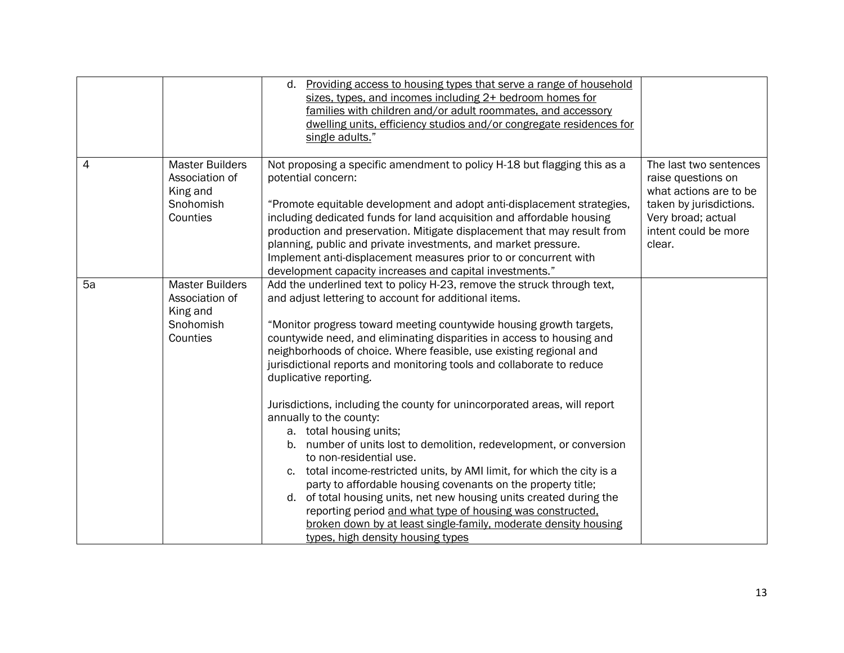|    |                                                                               | Providing access to housing types that serve a range of household<br>d.<br>sizes, types, and incomes including 2+ bedroom homes for<br>families with children and/or adult roommates, and accessory<br>dwelling units, efficiency studios and/or congregate residences for<br>single adults."                                                                                                                                                                                                                                                                                                                                                                                                                                                                                                                                                                                                                                                                                                                                                                                          |                                                                                                                                                           |
|----|-------------------------------------------------------------------------------|----------------------------------------------------------------------------------------------------------------------------------------------------------------------------------------------------------------------------------------------------------------------------------------------------------------------------------------------------------------------------------------------------------------------------------------------------------------------------------------------------------------------------------------------------------------------------------------------------------------------------------------------------------------------------------------------------------------------------------------------------------------------------------------------------------------------------------------------------------------------------------------------------------------------------------------------------------------------------------------------------------------------------------------------------------------------------------------|-----------------------------------------------------------------------------------------------------------------------------------------------------------|
| 4  | <b>Master Builders</b><br>Association of<br>King and<br>Snohomish<br>Counties | Not proposing a specific amendment to policy H-18 but flagging this as a<br>potential concern:<br>"Promote equitable development and adopt anti-displacement strategies,<br>including dedicated funds for land acquisition and affordable housing<br>production and preservation. Mitigate displacement that may result from<br>planning, public and private investments, and market pressure.<br>Implement anti-displacement measures prior to or concurrent with<br>development capacity increases and capital investments."                                                                                                                                                                                                                                                                                                                                                                                                                                                                                                                                                         | The last two sentences<br>raise questions on<br>what actions are to be<br>taken by jurisdictions.<br>Very broad; actual<br>intent could be more<br>clear. |
| 5a | <b>Master Builders</b><br>Association of<br>King and<br>Snohomish<br>Counties | Add the underlined text to policy H-23, remove the struck through text,<br>and adjust lettering to account for additional items.<br>"Monitor progress toward meeting countywide housing growth targets,<br>countywide need, and eliminating disparities in access to housing and<br>neighborhoods of choice. Where feasible, use existing regional and<br>jurisdictional reports and monitoring tools and collaborate to reduce<br>duplicative reporting.<br>Jurisdictions, including the county for unincorporated areas, will report<br>annually to the county:<br>a. total housing units;<br>b. number of units lost to demolition, redevelopment, or conversion<br>to non-residential use.<br>c. total income-restricted units, by AMI limit, for which the city is a<br>party to affordable housing covenants on the property title;<br>d. of total housing units, net new housing units created during the<br>reporting period and what type of housing was constructed.<br>broken down by at least single-family, moderate density housing<br>types, high density housing types |                                                                                                                                                           |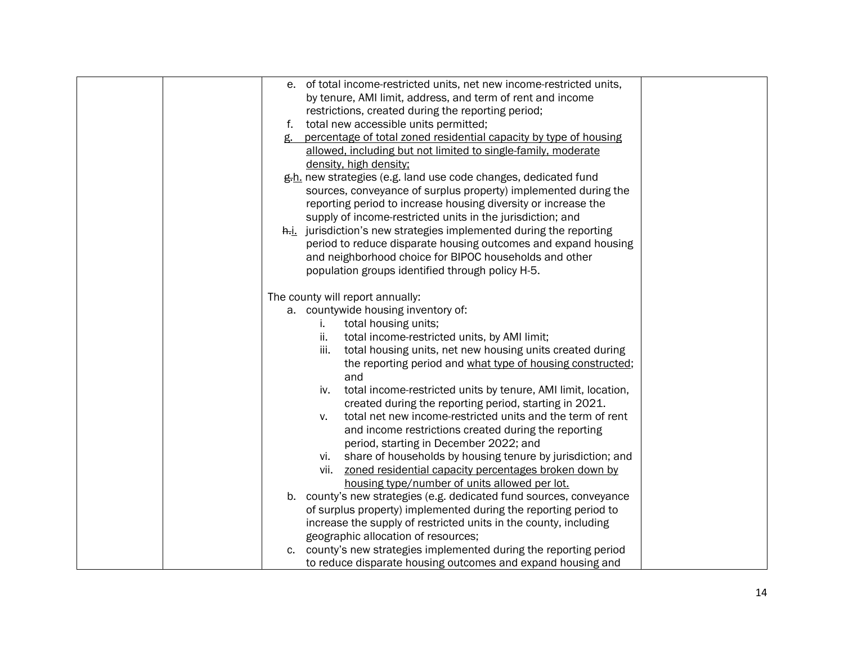| e. of total income-restricted units, net new income-restricted units,   |  |
|-------------------------------------------------------------------------|--|
| by tenure, AMI limit, address, and term of rent and income              |  |
| restrictions, created during the reporting period;                      |  |
| f. total new accessible units permitted;                                |  |
| percentage of total zoned residential capacity by type of housing<br>g. |  |
|                                                                         |  |
| allowed, including but not limited to single-family, moderate           |  |
| density, high density;                                                  |  |
| g.h. new strategies (e.g. land use code changes, dedicated fund         |  |
| sources, conveyance of surplus property) implemented during the         |  |
| reporting period to increase housing diversity or increase the          |  |
| supply of income-restricted units in the jurisdiction; and              |  |
| h.i. jurisdiction's new strategies implemented during the reporting     |  |
| period to reduce disparate housing outcomes and expand housing          |  |
| and neighborhood choice for BIPOC households and other                  |  |
| population groups identified through policy H-5.                        |  |
| The county will report annually:                                        |  |
| a. countywide housing inventory of:                                     |  |
| total housing units;<br>i.                                              |  |
| total income-restricted units, by AMI limit;<br>ii.                     |  |
| total housing units, net new housing units created during<br>iii.       |  |
| the reporting period and what type of housing constructed;              |  |
| and                                                                     |  |
| total income-restricted units by tenure, AMI limit, location,<br>iv.    |  |
| created during the reporting period, starting in 2021.                  |  |
| total net new income-restricted units and the term of rent<br>v.        |  |
| and income restrictions created during the reporting                    |  |
| period, starting in December 2022; and                                  |  |
| share of households by housing tenure by jurisdiction; and<br>vi.       |  |
| zoned residential capacity percentages broken down by<br>vii.           |  |
| housing type/number of units allowed per lot.                           |  |
| b. county's new strategies (e.g. dedicated fund sources, conveyance     |  |
| of surplus property) implemented during the reporting period to         |  |
| increase the supply of restricted units in the county, including        |  |
| geographic allocation of resources;                                     |  |
| county's new strategies implemented during the reporting period<br>C.   |  |
| to reduce disparate housing outcomes and expand housing and             |  |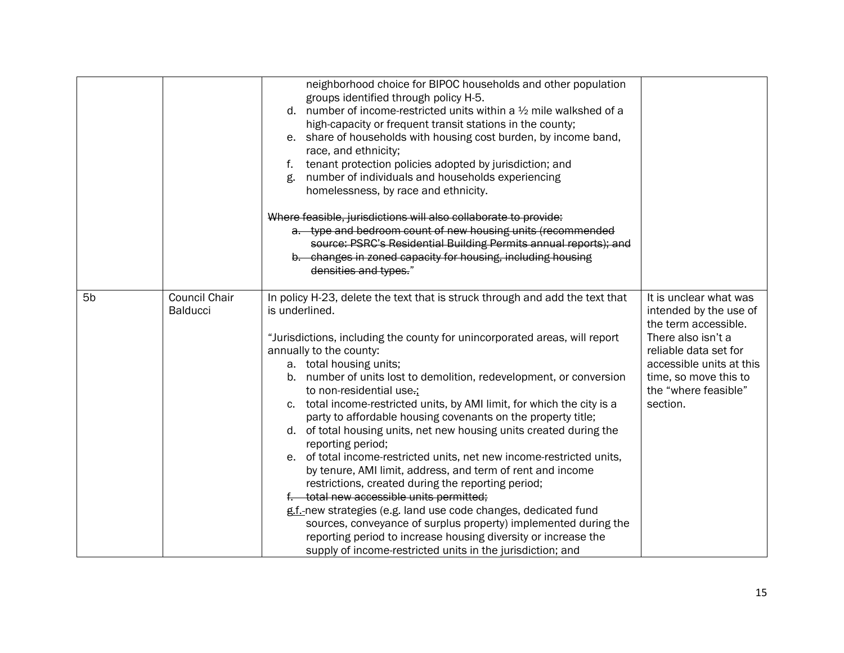|                |                                         | neighborhood choice for BIPOC households and other population<br>groups identified through policy H-5.<br>d. number of income-restricted units within a $\frac{1}{2}$ mile walkshed of a<br>high-capacity or frequent transit stations in the county;<br>e. share of households with housing cost burden, by income band,<br>race, and ethnicity;<br>tenant protection policies adopted by jurisdiction; and<br>f.<br>number of individuals and households experiencing<br>g.<br>homelessness, by race and ethnicity.<br>Where feasible, jurisdictions will also collaborate to provide:                                                                                                                                                                                                                                                                                                                                                                                                                                                                                                    |                                                                                                                                                                                                                  |
|----------------|-----------------------------------------|---------------------------------------------------------------------------------------------------------------------------------------------------------------------------------------------------------------------------------------------------------------------------------------------------------------------------------------------------------------------------------------------------------------------------------------------------------------------------------------------------------------------------------------------------------------------------------------------------------------------------------------------------------------------------------------------------------------------------------------------------------------------------------------------------------------------------------------------------------------------------------------------------------------------------------------------------------------------------------------------------------------------------------------------------------------------------------------------|------------------------------------------------------------------------------------------------------------------------------------------------------------------------------------------------------------------|
|                |                                         | a. type and bedroom count of new housing units (recommended<br>source: PSRC's Residential Building Permits annual reports); and<br>b. changes in zoned capacity for housing, including housing<br>densities and types."                                                                                                                                                                                                                                                                                                                                                                                                                                                                                                                                                                                                                                                                                                                                                                                                                                                                     |                                                                                                                                                                                                                  |
| 5 <sub>b</sub> | <b>Council Chair</b><br><b>Balducci</b> | In policy H-23, delete the text that is struck through and add the text that<br>is underlined.<br>"Jurisdictions, including the county for unincorporated areas, will report<br>annually to the county:<br>a. total housing units;<br>b. number of units lost to demolition, redevelopment, or conversion<br>to non-residential use.;<br>c. total income-restricted units, by AMI limit, for which the city is a<br>party to affordable housing covenants on the property title;<br>d. of total housing units, net new housing units created during the<br>reporting period;<br>e. of total income-restricted units, net new income-restricted units,<br>by tenure, AMI limit, address, and term of rent and income<br>restrictions, created during the reporting period;<br>f. total new accessible units permitted;<br>g.f.-new strategies (e.g. land use code changes, dedicated fund<br>sources, conveyance of surplus property) implemented during the<br>reporting period to increase housing diversity or increase the<br>supply of income-restricted units in the jurisdiction; and | It is unclear what was<br>intended by the use of<br>the term accessible.<br>There also isn't a<br>reliable data set for<br>accessible units at this<br>time, so move this to<br>the "where feasible"<br>section. |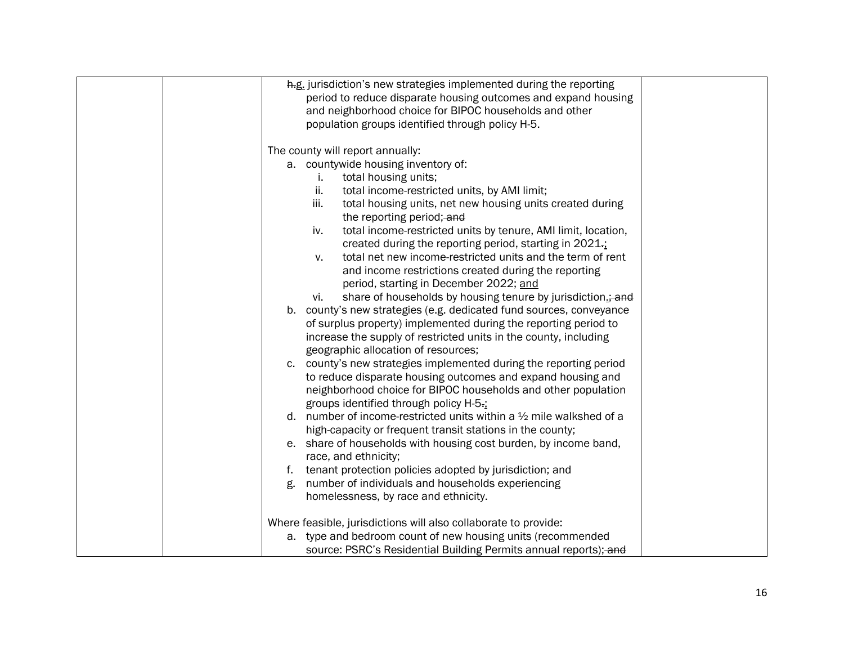| h.g. jurisdiction's new strategies implemented during the reporting            |
|--------------------------------------------------------------------------------|
| period to reduce disparate housing outcomes and expand housing                 |
| and neighborhood choice for BIPOC households and other                         |
| population groups identified through policy H-5.                               |
|                                                                                |
| The county will report annually:                                               |
| a. countywide housing inventory of:                                            |
| total housing units;<br>i.                                                     |
| ii.<br>total income-restricted units, by AMI limit;                            |
| iii.<br>total housing units, net new housing units created during              |
| the reporting period; and                                                      |
| total income-restricted units by tenure, AMI limit, location,<br>iv.           |
| created during the reporting period, starting in 2021-;                        |
| total net new income-restricted units and the term of rent<br>V.               |
| and income restrictions created during the reporting                           |
| period, starting in December 2022; and                                         |
| share of households by housing tenure by jurisdiction.; and<br>vi.             |
| county's new strategies (e.g. dedicated fund sources, conveyance<br>b.         |
| of surplus property) implemented during the reporting period to                |
| increase the supply of restricted units in the county, including               |
| geographic allocation of resources;                                            |
| c. county's new strategies implemented during the reporting period             |
| to reduce disparate housing outcomes and expand housing and                    |
| neighborhood choice for BIPOC households and other population                  |
| groups identified through policy H-5-;                                         |
| d. number of income-restricted units within a $\frac{1}{2}$ mile walkshed of a |
| high-capacity or frequent transit stations in the county;                      |
| e. share of households with housing cost burden, by income band,               |
| race, and ethnicity;                                                           |
| f. tenant protection policies adopted by jurisdiction; and                     |
| number of individuals and households experiencing<br>g.                        |
| homelessness, by race and ethnicity.                                           |
| Where feasible, jurisdictions will also collaborate to provide:                |
| a. type and bedroom count of new housing units (recommended                    |
| source: PSRC's Residential Building Permits annual reports); and               |
|                                                                                |